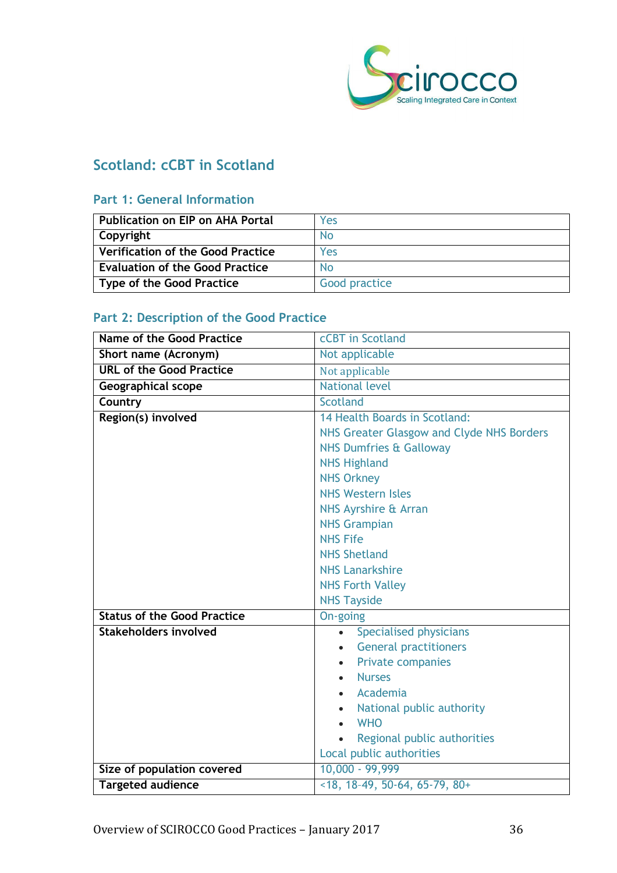

# **Scotland: cCBT in Scotland**

## **Part 1: General Information**

| <b>Publication on EIP on AHA Portal</b>  | Yes           |
|------------------------------------------|---------------|
| Copyright                                | No            |
| <b>Verification of the Good Practice</b> | Yes           |
| <b>Evaluation of the Good Practice</b>   | <b>No</b>     |
| <b>Type of the Good Practice</b>         | Good practice |

# **Part 2: Description of the Good Practice**

| <b>Name of the Good Practice</b>   | <b>cCBT</b> in Scotland                   |
|------------------------------------|-------------------------------------------|
| Short name (Acronym)               | Not applicable                            |
| <b>URL of the Good Practice</b>    | Not applicable                            |
| <b>Geographical scope</b>          | <b>National level</b>                     |
| Country                            | <b>Scotland</b>                           |
| Region(s) involved                 | 14 Health Boards in Scotland:             |
|                                    | NHS Greater Glasgow and Clyde NHS Borders |
|                                    | <b>NHS Dumfries &amp; Galloway</b>        |
|                                    | <b>NHS Highland</b>                       |
|                                    | <b>NHS Orkney</b>                         |
|                                    | <b>NHS Western Isles</b>                  |
|                                    | NHS Ayrshire & Arran                      |
|                                    | <b>NHS Grampian</b>                       |
|                                    | <b>NHS Fife</b>                           |
|                                    | <b>NHS Shetland</b>                       |
|                                    | <b>NHS Lanarkshire</b>                    |
|                                    | <b>NHS Forth Valley</b>                   |
|                                    | <b>NHS Tayside</b>                        |
| <b>Status of the Good Practice</b> | On-going                                  |
| <b>Stakeholders involved</b>       | <b>Specialised physicians</b>             |
|                                    | <b>General practitioners</b>              |
|                                    | <b>Private companies</b><br>$\bullet$     |
|                                    | <b>Nurses</b>                             |
|                                    | Academia                                  |
|                                    | National public authority                 |
|                                    | <b>WHO</b>                                |
|                                    | Regional public authorities               |
|                                    | Local public authorities                  |
| Size of population covered         | 10,000 - 99,999                           |
| <b>Targeted audience</b>           | $<18, 18-49, 50-64, 65-79, 80+$           |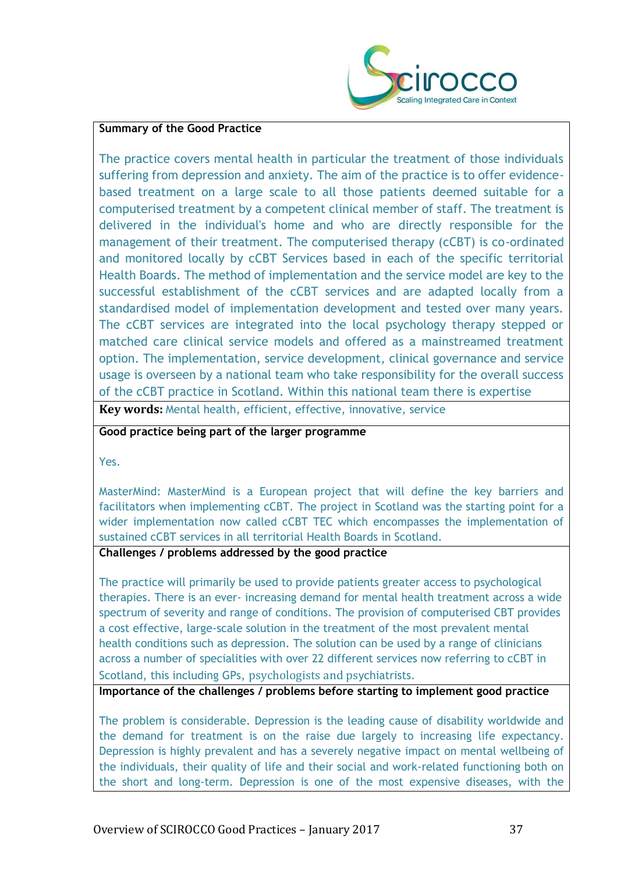

### **Summary of the Good Practice**

The practice covers mental health in particular the treatment of those individuals suffering from depression and anxiety. The aim of the practice is to offer evidencebased treatment on a large scale to all those patients deemed suitable for a computerised treatment by a competent clinical member of staff. The treatment is delivered in the individual's home and who are directly responsible for the management of their treatment. The computerised therapy (cCBT) is co-ordinated and monitored locally by cCBT Services based in each of the specific territorial Health Boards. The method of implementation and the service model are key to the successful establishment of the cCBT services and are adapted locally from a standardised model of implementation development and tested over many years. The cCBT services are integrated into the local psychology therapy stepped or matched care clinical service models and offered as a mainstreamed treatment option. The implementation, service development, clinical governance and service usage is overseen by a national team who take responsibility for the overall success of the cCBT practice in Scotland. Within this national team there is expertise

**Key words:** Mental health, efficient, effective, innovative, service

**Good practice being part of the larger programme**

Yes.

MasterMind: MasterMind is a European project that will define the key barriers and facilitators when implementing cCBT. The project in Scotland was the starting point for a wider implementation now called cCBT TEC which encompasses the implementation of sustained cCBT services in all territorial Health Boards in Scotland.

### **Challenges / problems addressed by the good practice**

The practice will primarily be used to provide patients greater access to psychological therapies. There is an ever- increasing demand for mental health treatment across a wide spectrum of severity and range of conditions. The provision of computerised CBT provides a cost effective, large-scale solution in the treatment of the most prevalent mental health conditions such as depression. The solution can be used by a range of clinicians across a number of specialities with over 22 different services now referring to cCBT in Scotland, this including GPs, psychologists and psychiatrists.

**Importance of the challenges / problems before starting to implement good practice**

The problem is considerable. Depression is the leading cause of disability worldwide and the demand for treatment is on the raise due largely to increasing life expectancy. Depression is highly prevalent and has a severely negative impact on mental wellbeing of the individuals, their quality of life and their social and work-related functioning both on the short and long-term. Depression is one of the most expensive diseases, with the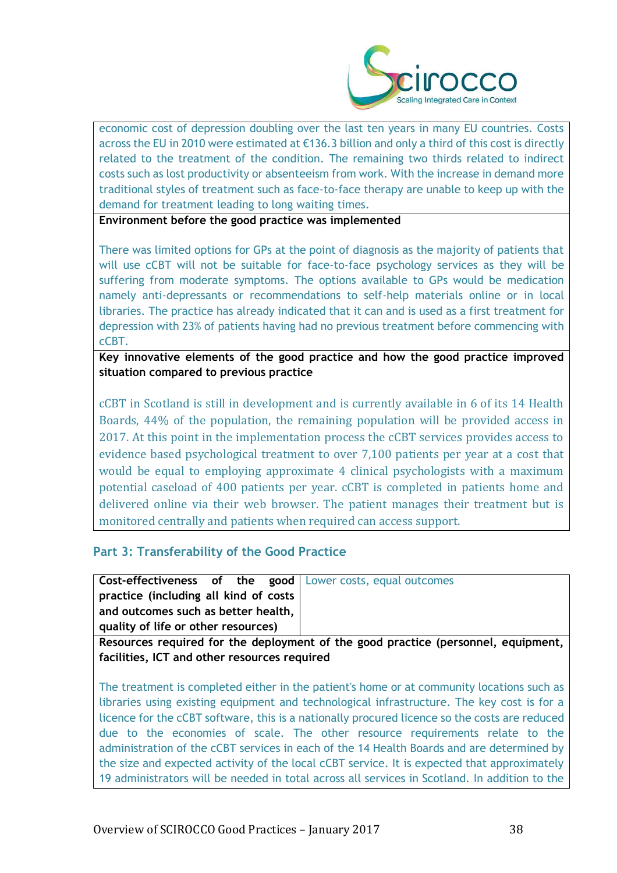

economic cost of depression doubling over the last ten years in many EU countries. Costs across the EU in 2010 were estimated at €136.3 billion and only a third of this cost is directly related to the treatment of the condition. The remaining two thirds related to indirect costs such as lost productivity or absenteeism from work. With the increase in demand more traditional styles of treatment such as face-to-face therapy are unable to keep up with the demand for treatment leading to long waiting times.

**Environment before the good practice was implemented** 

There was limited options for GPs at the point of diagnosis as the majority of patients that will use cCBT will not be suitable for face-to-face psychology services as they will be suffering from moderate symptoms. The options available to GPs would be medication namely anti-depressants or recommendations to self-help materials online or in local libraries. The practice has already indicated that it can and is used as a first treatment for depression with 23% of patients having had no previous treatment before commencing with cCBT.

**Key innovative elements of the good practice and how the good practice improved situation compared to previous practice**

cCBT in Scotland is still in development and is currently available in 6 of its 14 Health Boards, 44% of the population, the remaining population will be provided access in 2017. At this point in the implementation process the cCBT services provides access to evidence based psychological treatment to over 7,100 patients per year at a cost that would be equal to employing approximate 4 clinical psychologists with a maximum potential caseload of 400 patients per year. cCBT is completed in patients home and delivered online via their web browser. The patient manages their treatment but is monitored centrally and patients when required can access support.

## **Part 3: Transferability of the Good Practice**

| <b>Cost-effectiveness of the good</b> Lower costs, equal outcomes |                                                                                 |
|-------------------------------------------------------------------|---------------------------------------------------------------------------------|
| practice (including all kind of costs                             |                                                                                 |
| and outcomes such as better health,                               |                                                                                 |
| quality of life or other resources)                               |                                                                                 |
|                                                                   | Resources required for the deployment of the good practice (personnel equipment |

or the good practice (p **facilities, ICT and other resources required**

The treatment is completed either in the patient's home or at community locations such as libraries using existing equipment and technological infrastructure. The key cost is for a licence for the cCBT software, this is a nationally procured licence so the costs are reduced due to the economies of scale. The other resource requirements relate to the administration of the cCBT services in each of the 14 Health Boards and are determined by the size and expected activity of the local cCBT service. It is expected that approximately 19 administrators will be needed in total across all services in Scotland. In addition to the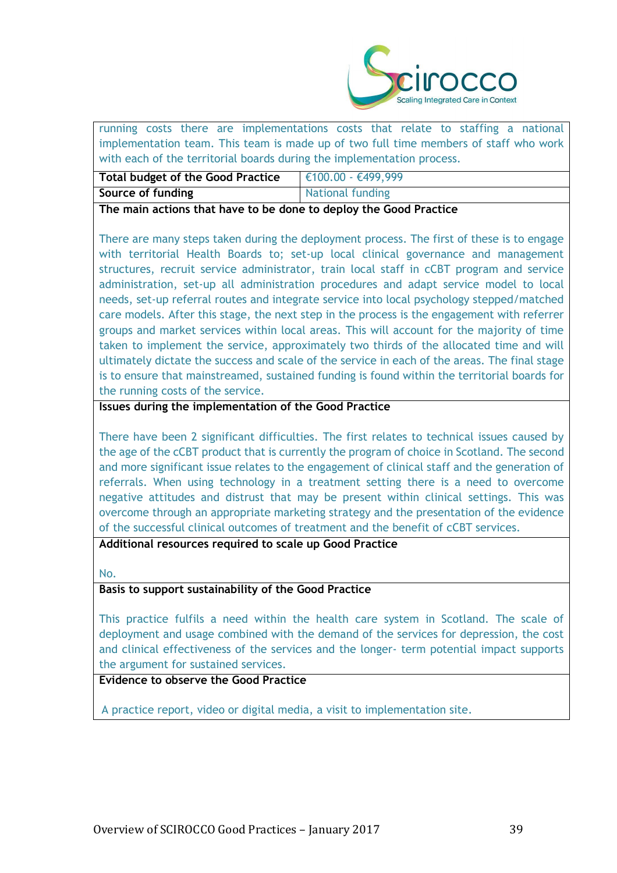

running costs there are implementations costs that relate to staffing a national implementation team. This team is made up of two full time members of staff who work with each of the territorial boards during the implementation process.

| <b>Total budget of the Good Practice</b> | $\bigcup$ €100.00 - €499,999 |
|------------------------------------------|------------------------------|
| Source of funding                        | National funding             |
|                                          |                              |

**The main actions that have to be done to deploy the Good Practice**

There are many steps taken during the deployment process. The first of these is to engage with territorial Health Boards to; set-up local clinical governance and management structures, recruit service administrator, train local staff in cCBT program and service administration, set-up all administration procedures and adapt service model to local needs, set-up referral routes and integrate service into local psychology stepped/matched care models. After this stage, the next step in the process is the engagement with referrer groups and market services within local areas. This will account for the majority of time taken to implement the service, approximately two thirds of the allocated time and will ultimately dictate the success and scale of the service in each of the areas. The final stage is to ensure that mainstreamed, sustained funding is found within the territorial boards for the running costs of the service.

**Issues during the implementation of the Good Practice**

There have been 2 significant difficulties. The first relates to technical issues caused by the age of the cCBT product that is currently the program of choice in Scotland. The second and more significant issue relates to the engagement of clinical staff and the generation of referrals. When using technology in a treatment setting there is a need to overcome negative attitudes and distrust that may be present within clinical settings. This was overcome through an appropriate marketing strategy and the presentation of the evidence of the successful clinical outcomes of treatment and the benefit of cCBT services.

**Additional resources required to scale up Good Practice**

No.

**Basis to support sustainability of the Good Practice**

This practice fulfils a need within the health care system in Scotland. The scale of deployment and usage combined with the demand of the services for depression, the cost and clinical effectiveness of the services and the longer- term potential impact supports the argument for sustained services.

## **Evidence to observe the Good Practice**

A practice report, video or digital media, a visit to implementation site.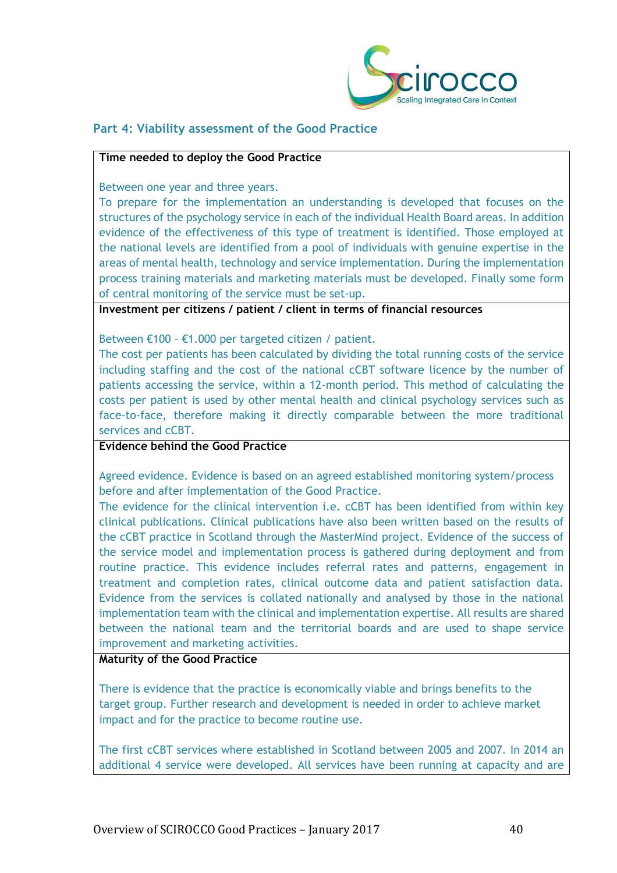

## **Part 4: Viability assessment of the Good Practice**

#### **Time needed to deploy the Good Practice**

Between one year and three years.

To prepare for the implementation an understanding is developed that focuses on the structures of the psychology service in each of the individual Health Board areas. In addition evidence of the effectiveness of this type of treatment is identified. Those employed at the national levels are identified from a pool of individuals with genuine expertise in the areas of mental health, technology and service implementation. During the implementation process training materials and marketing materials must be developed. Finally some form of central monitoring of the service must be set-up.

**Investment per citizens / patient / client in terms of financial resources**

Between €100 – €1.000 per targeted citizen / patient.

The cost per patients has been calculated by dividing the total running costs of the service including staffing and the cost of the national cCBT software licence by the number of patients accessing the service, within a 12-month period. This method of calculating the costs per patient is used by other mental health and clinical psychology services such as face-to-face, therefore making it directly comparable between the more traditional services and cCBT.

## **Evidence behind the Good Practice**

Agreed evidence. Evidence is based on an agreed established monitoring system/process before and after implementation of the Good Practice.

The evidence for the clinical intervention i.e. cCBT has been identified from within key clinical publications. Clinical publications have also been written based on the results of the cCBT practice in Scotland through the MasterMind project. Evidence of the success of the service model and implementation process is gathered during deployment and from routine practice. This evidence includes referral rates and patterns, engagement in treatment and completion rates, clinical outcome data and patient satisfaction data. Evidence from the services is collated nationally and analysed by those in the national implementation team with the clinical and implementation expertise. All results are shared between the national team and the territorial boards and are used to shape service improvement and marketing activities.

#### **Maturity of the Good Practice**

There is evidence that the practice is economically viable and brings benefits to the target group. Further research and development is needed in order to achieve market impact and for the practice to become routine use.

The first cCBT services where established in Scotland between 2005 and 2007. In 2014 an additional 4 service were developed. All services have been running at capacity and are